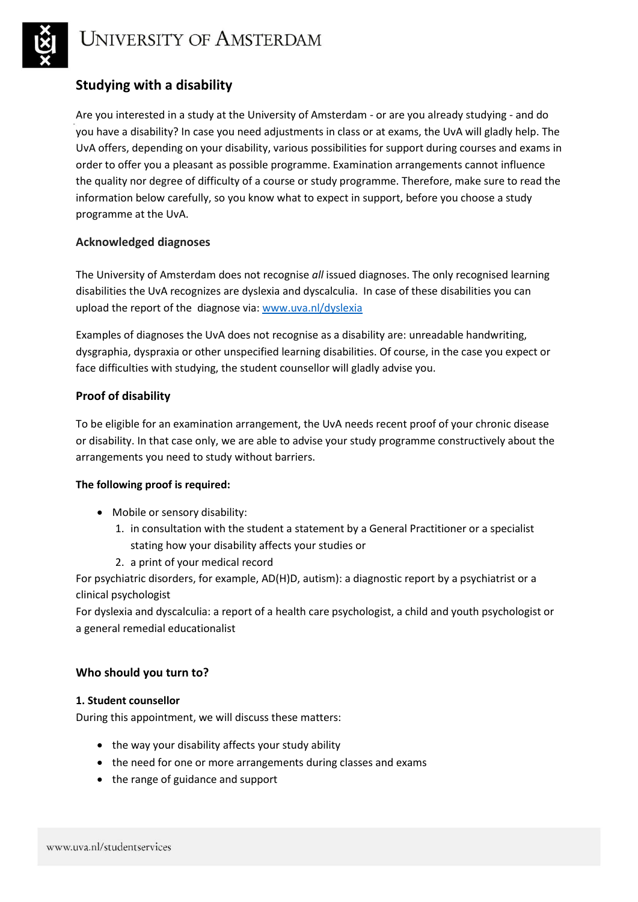

# **Studying with a disability**

Are you interested in a study at the University of Amsterdam - or are you already studying - and do you have a disability? In case you need adjustments in class or at exams, the UvA will gladly help. The UvA offers, depending on your disability, various possibilities for support during courses and exams in order to offer you a pleasant as possible programme. Examination arrangements cannot influence the quality nor degree of difficulty of a course or study programme. Therefore, make sure to read the information below carefully, so you know what to expect in support, before you choose a study programme at the UvA.

# **Acknowledged diagnoses**

The University of Amsterdam does not recognise *all* issued diagnoses. The only recognised learning disabilities the UvA recognizes are dyslexia and dyscalculia. In case of these disabilities you can upload the report of the diagnose via: [www.uva.nl/dyslexia](http://www.uva.nl/dyslexia)

Examples of diagnoses the UvA does not recognise as a disability are: unreadable handwriting, dysgraphia, dyspraxia or other unspecified learning disabilities. Of course, in the case you expect or face difficulties with studying, the student counsellor will gladly advise you.

# **Proof of disability**

To be eligible for an examination arrangement, the UvA needs recent proof of your chronic disease or disability. In that case only, we are able to advise your study programme constructively about the arrangements you need to study without barriers.

## **The following proof is required:**

- Mobile or sensory disability:
	- 1. in consultation with the student a statement by a General Practitioner or a specialist stating how your disability affects your studies or
	- 2. a print of your medical record

For psychiatric disorders, for example, AD(H)D, autism): a diagnostic report by a psychiatrist or a clinical psychologist

For dyslexia and dyscalculia: a report of a health care psychologist, a child and youth psychologist or a general remedial educationalist

## **Who should you turn to?**

## **1. Student counsellor**

During this appointment, we will discuss these matters:

- the way your disability affects your study ability
- the need for one or more arrangements during classes and exams
- the range of guidance and support